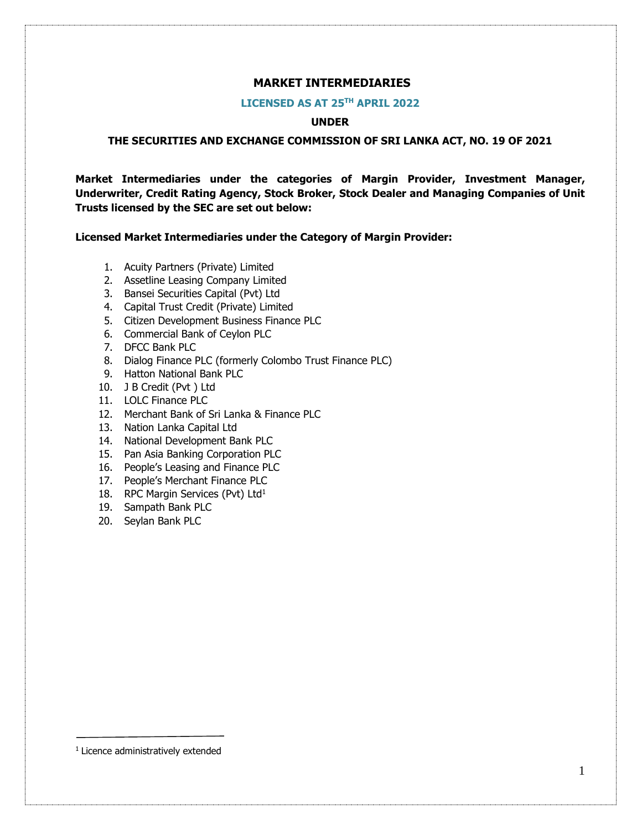## **MARKET INTERMEDIARIES**

#### **LICENSED AS AT 25TH APRIL 2022**

### **UNDER**

#### **THE SECURITIES AND EXCHANGE COMMISSION OF SRI LANKA ACT, NO. 19 OF 2021**

**Market Intermediaries under the categories of Margin Provider, Investment Manager, Underwriter, Credit Rating Agency, Stock Broker, Stock Dealer and Managing Companies of Unit Trusts licensed by the SEC are set out below:**

**Licensed Market Intermediaries under the Category of Margin Provider:** 

- 1. Acuity Partners (Private) Limited
- 2. Assetline Leasing Company Limited
- 3. Bansei Securities Capital (Pvt) Ltd
- 4. Capital Trust Credit (Private) Limited
- 5. Citizen Development Business Finance PLC
- 6. Commercial Bank of Ceylon PLC
- 7. DFCC Bank PLC
- 8. Dialog Finance PLC (formerly Colombo Trust Finance PLC)
- 9. Hatton National Bank PLC
- 10. J B Credit (Pvt ) Ltd
- 11. LOLC Finance PLC
- 12. Merchant Bank of Sri Lanka & Finance PLC
- 13. Nation Lanka Capital Ltd
- 14. National Development Bank PLC
- 15. Pan Asia Banking Corporation PLC
- 16. People's Leasing and Finance PLC
- 17. People's Merchant Finance PLC
- 18. RPC Margin Services (Pvt) Ltd<sup>1</sup>
- 19. Sampath Bank PLC
- 20. Seylan Bank PLC

<sup>1</sup> Licence administratively extended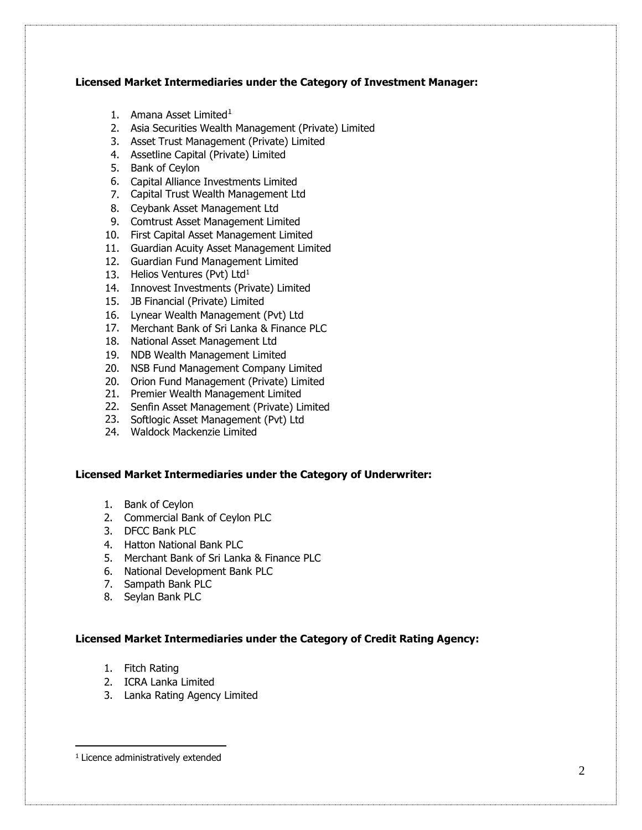## **Licensed Market Intermediaries under the Category of Investment Manager:**

- 1. Amana Asset Limited $1$
- 2. Asia Securities Wealth Management (Private) Limited
- 3. Asset Trust Management (Private) Limited
- 4. Assetline Capital (Private) Limited
- 5. Bank of Ceylon
- 6. Capital Alliance Investments Limited
- 7. Capital Trust Wealth Management Ltd
- 8. Ceybank Asset Management Ltd
- 9. Comtrust Asset Management Limited
- 10. First Capital Asset Management Limited
- 11. Guardian Acuity Asset Management Limited
- 12. Guardian Fund Management Limited
- 13. Helios Ventures (Pvt) Ltd $<sup>1</sup>$ </sup>
- 14. Innovest Investments (Private) Limited
- 15. JB Financial (Private) Limited
- 16. Lynear Wealth Management (Pvt) Ltd
- 17. Merchant Bank of Sri Lanka & Finance PLC
- 18. National Asset Management Ltd
- 19. NDB Wealth Management Limited
- 20. NSB Fund Management Company Limited
- 20. Orion Fund Management (Private) Limited
- 21. Premier Wealth Management Limited
- 22. Senfin Asset Management (Private) Limited
- 23. Softlogic Asset Management (Pvt) Ltd
- 24. Waldock Mackenzie Limited

### **Licensed Market Intermediaries under the Category of Underwriter:**

- 1. Bank of Ceylon
- 2. Commercial Bank of Ceylon PLC
- 3. DFCC Bank PLC
- 4. Hatton National Bank PLC
- 5. Merchant Bank of Sri Lanka & Finance PLC
- 6. National Development Bank PLC
- 7. Sampath Bank PLC
- 8. Seylan Bank PLC

### **Licensed Market Intermediaries under the Category of Credit Rating Agency:**

- 1. Fitch Rating
- 2. ICRA Lanka Limited
- 3. Lanka Rating Agency Limited

 $\overline{a}$ 

<sup>&</sup>lt;sup>1</sup> Licence administratively extended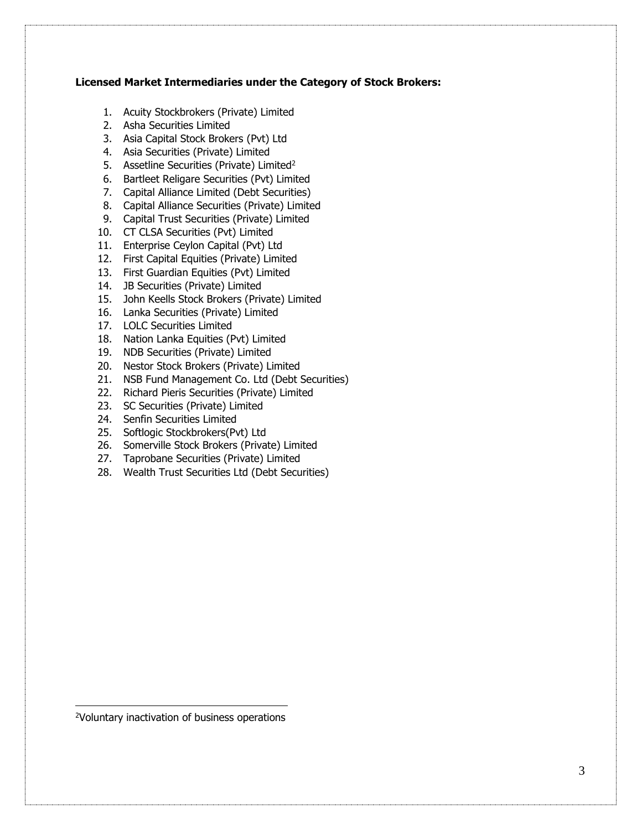### **Licensed Market Intermediaries under the Category of Stock Brokers:**

- 1. Acuity Stockbrokers (Private) Limited
- 2. Asha Securities Limited
- 3. Asia Capital Stock Brokers (Pvt) Ltd
- 4. Asia Securities (Private) Limited
- 5. Assetline Securities (Private) Limited<sup>2</sup>
- 6. Bartleet Religare Securities (Pvt) Limited
- 7. Capital Alliance Limited (Debt Securities)
- 8. Capital Alliance Securities (Private) Limited
- 9. Capital Trust Securities (Private) Limited
- 10. CT CLSA Securities (Pvt) Limited
- 11. Enterprise Ceylon Capital (Pvt) Ltd
- 12. First Capital Equities (Private) Limited
- 13. First Guardian Equities (Pvt) Limited
- 14. JB Securities (Private) Limited
- 15. John Keells Stock Brokers (Private) Limited
- 16. Lanka Securities (Private) Limited
- 17. LOLC Securities Limited
- 18. Nation Lanka Equities (Pvt) Limited
- 19. NDB Securities (Private) Limited
- 20. Nestor Stock Brokers (Private) Limited
- 21. NSB Fund Management Co. Ltd (Debt Securities)
- 22. Richard Pieris Securities (Private) Limited
- 23. SC Securities (Private) Limited
- 24. Senfin Securities Limited
- 25. Softlogic Stockbrokers(Pvt) Ltd
- 26. Somerville Stock Brokers (Private) Limited
- 27. Taprobane Securities (Private) Limited
- 28. Wealth Trust Securities Ltd (Debt Securities)

2Voluntary inactivation of business operations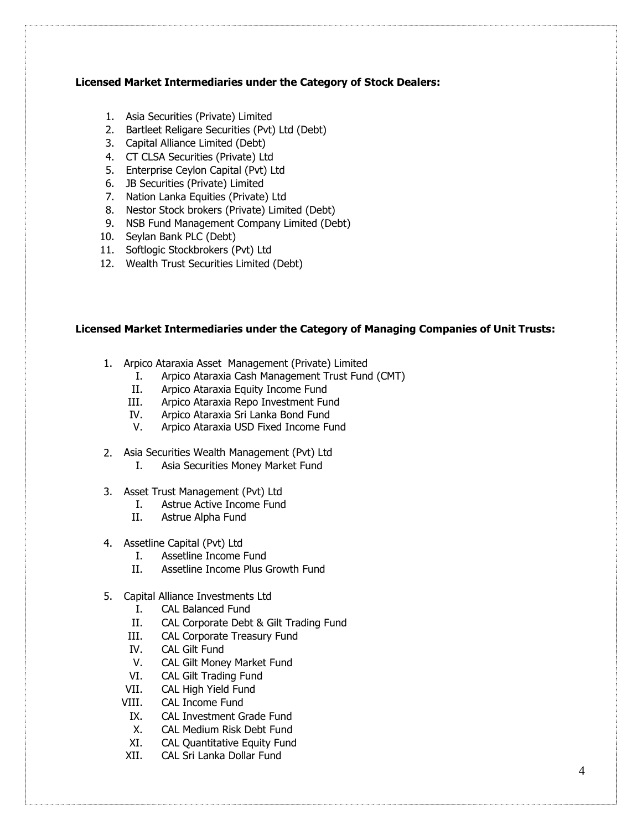## **Licensed Market Intermediaries under the Category of Stock Dealers:**

- 1. Asia Securities (Private) Limited
- 2. Bartleet Religare Securities (Pvt) Ltd (Debt)
- 3. Capital Alliance Limited (Debt)
- 4. CT CLSA Securities (Private) Ltd
- 5. Enterprise Ceylon Capital (Pvt) Ltd
- 6. JB Securities (Private) Limited
- 7. Nation Lanka Equities (Private) Ltd
- 8. Nestor Stock brokers (Private) Limited (Debt)
- 9. NSB Fund Management Company Limited (Debt)
- 10. Seylan Bank PLC (Debt)
- 11. Softlogic Stockbrokers (Pvt) Ltd
- 12. Wealth Trust Securities Limited (Debt)

## **Licensed Market Intermediaries under the Category of Managing Companies of Unit Trusts:**

- 1. Arpico Ataraxia Asset Management (Private) Limited
	- I. Arpico Ataraxia Cash Management Trust Fund (CMT)
		- II. Arpico Ataraxia Equity Income Fund
	- III. Arpico Ataraxia Repo Investment Fund
	- IV. Arpico Ataraxia Sri Lanka Bond Fund
	- V. Arpico Ataraxia USD Fixed Income Fund
- 2. Asia Securities Wealth Management (Pvt) Ltd
	- I. Asia Securities Money Market Fund
- 3. Asset Trust Management (Pvt) Ltd
	- I. Astrue Active Income Fund
	- II. Astrue Alpha Fund
- 4. Assetline Capital (Pvt) Ltd
	- I. Assetline Income Fund
	- II. Assetline Income Plus Growth Fund
- 5. Capital Alliance Investments Ltd
	- I. CAL Balanced Fund
	- II. CAL Corporate Debt & Gilt Trading Fund
	- III. CAL Corporate Treasury Fund
	- IV. CAL Gilt Fund
	- V. CAL Gilt Money Market Fund
	- VI. CAL Gilt Trading Fund
	- VII. CAL High Yield Fund
	- VIII. CAL Income Fund
	- IX. CAL Investment Grade Fund
	- X. CAL Medium Risk Debt Fund
	- XI. CAL Quantitative Equity Fund
	- XII. CAL Sri Lanka Dollar Fund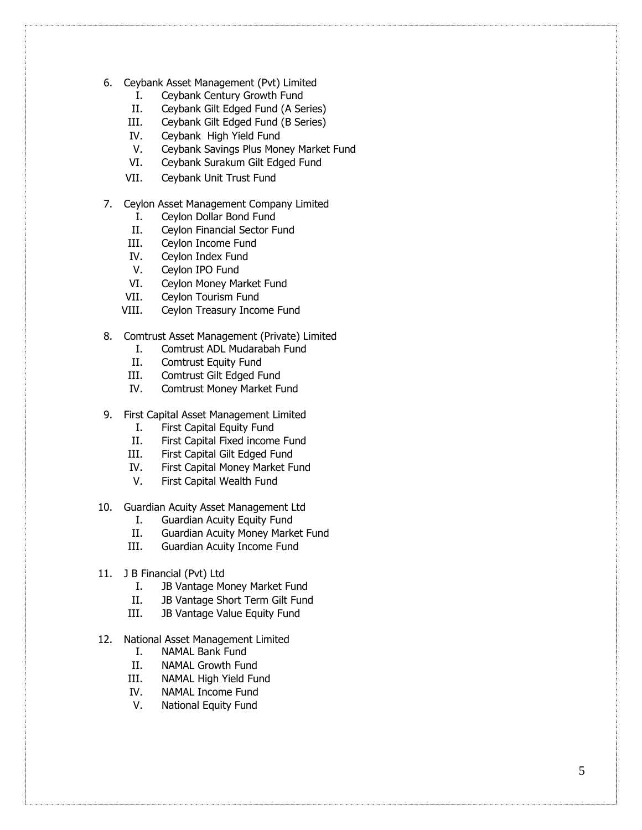- 6 . Ceybank Asset Management (Pvt) Limited
	- I. Ceybank Century Growth Fund
	- II. Ceybank Gilt Edged Fund (A Series)
	- III. Ceybank Gilt Edged Fund (B Series)
	- IV. Ceybank High Yield Fund
	- V. Ceybank Savings Plus Money Market Fund
	- VI. Ceybank Surakum Gilt Edged Fund
	- VII. Ceybank Unit Trust Fund
- 7 . Ceylon Asset Management Company Limited
	- I. Ceylon Dollar Bond Fund
	- II. Ceylon Financial Sector Fund
	- III. Ceylon Income Fund
	- IV. Ceylon Index Fund
	- V. Ceylon IPO Fund
	- VI. Ceylon Money Market Fund
	- VII. Ceylon Tourism Fund
	- VIII. Ceylon Treasury Income Fund
- 8. Comtrust Asset Management (Private) Limited
	- I. Comtrust ADL Mudarabah Fund
	- II. Comtrust Equity Fund
	- III. Comtrust Gilt Edged Fund
	- IV. Comtrust Money Market Fund
- 9. First Capital Asset Management Limited
	- I. First Capital Equity Fund
	- II. First Capital Fixed income Fund
	- III. First Capital Gilt Edged Fund
	- IV. First Capital Money Market Fund
	- V. First Capital Wealth Fund
- 10 . Guardian Acuity Asset Management Ltd
	- I. Guardian Acuity Equity Fund
	- II. Guardian Acuity Money Market Fund
	- III. Guardian Acuity Income Fund
- 11. J B Financial (Pvt) Ltd
	- I. JB Vantage Money Market Fund
	- II. JB Vantage Short Term Gilt Fund
	- III. JB Vantage Value Equity Fund
- 12 . National Asset Management Limited
	- I. NAMAL Bank Fund
	- II. NAMAL Growth Fund
	- III. NAMAL High Yield Fund
	- IV. NAMAL Income Fund
	- V. National Equity Fund